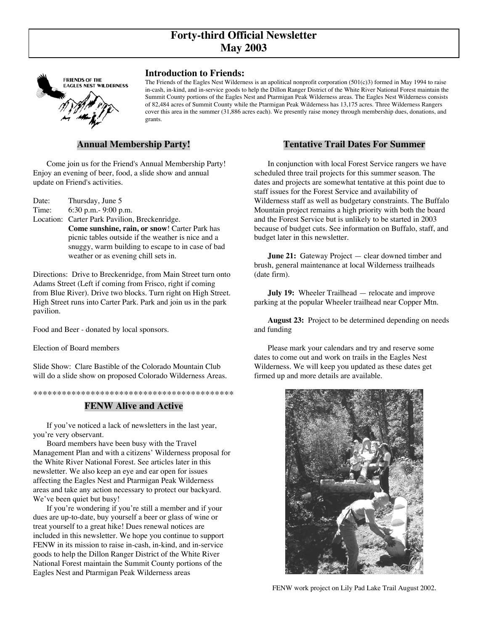# **Forty-third Official Newsletter May 2003**



## **Introduction to Friends:**

The Friends of the Eagles Nest Wilderness is an apolitical nonprofit corporation (501(c)3) formed in May 1994 to raise in-cash, in-kind, and in-service goods to help the Dillon Ranger District of the White River National Forest maintain the Summit County portions of the Eagles Nest and Ptarmigan Peak Wilderness areas. The Eagles Nest Wilderness consists of 82,484 acres of Summit County while the Ptarmigan Peak Wilderness has 13,175 acres. Three Wilderness Rangers cover this area in the summer (31,886 acres each). We presently raise money through membership dues, donations, and grants.

## **Annual Membership Party!**

Come join us for the Friend's Annual Membership Party! Enjoy an evening of beer, food, a slide show and annual update on Friend's activities.

Date: Thursday, June 5 Time: 6:30 p.m.- 9:00 p.m. Location: Carter Park Pavilion, Breckenridge. **Come sunshine, rain, or snow**! Carter Park has picnic tables outside if the weather is nice and a snuggy, warm building to escape to in case of bad weather or as evening chill sets in.

Directions: Drive to Breckenridge, from Main Street turn onto Adams Street (Left if coming from Frisco, right if coming from Blue River). Drive two blocks. Turn right on High Street. High Street runs into Carter Park. Park and join us in the park pavilion.

Food and Beer - donated by local sponsors.

Election of Board members

Slide Show: Clare Bastible of the Colorado Mountain Club will do a slide show on proposed Colorado Wilderness Areas.

\*\*\*\*\*\*\*\*\*\*\*\*\*\*\*\*\*\*\*\*\*\*\*\*\*\*\*\*\*\*\*\*\*\*\*\*\*\*\*\*\*\*

#### **FENW Alive and Active**

If you've noticed a lack of newsletters in the last year, you're very observant.

Board members have been busy with the Travel Management Plan and with a citizens' Wilderness proposal for the White River National Forest. See articles later in this newsletter. We also keep an eye and ear open for issues affecting the Eagles Nest and Ptarmigan Peak Wilderness areas and take any action necessary to protect our backyard. We've been quiet but busy!

If you're wondering if you're still a member and if your dues are up-to-date, buy yourself a beer or glass of wine or treat yourself to a great hike! Dues renewal notices are included in this newsletter. We hope you continue to support FENW in its mission to raise in-cash, in-kind, and in-service goods to help the Dillon Ranger District of the White River National Forest maintain the Summit County portions of the Eagles Nest and Ptarmigan Peak Wilderness areas

## **Tentative Trail Dates For Summer**

In conjunction with local Forest Service rangers we have scheduled three trail projects for this summer season. The dates and projects are somewhat tentative at this point due to staff issues for the Forest Service and availability of Wilderness staff as well as budgetary constraints. The Buffalo Mountain project remains a high priority with both the board and the Forest Service but is unlikely to be started in 2003 because of budget cuts. See information on Buffalo, staff, and budget later in this newsletter.

**June 21:** Gateway Project — clear downed timber and brush, general maintenance at local Wilderness trailheads (date firm).

**July 19:** Wheeler Trailhead — relocate and improve parking at the popular Wheeler trailhead near Copper Mtn.

**August 23:** Project to be determined depending on needs and funding

Please mark your calendars and try and reserve some dates to come out and work on trails in the Eagles Nest Wilderness. We will keep you updated as these dates get firmed up and more details are available.



FENW work project on Lily Pad Lake Trail August 2002.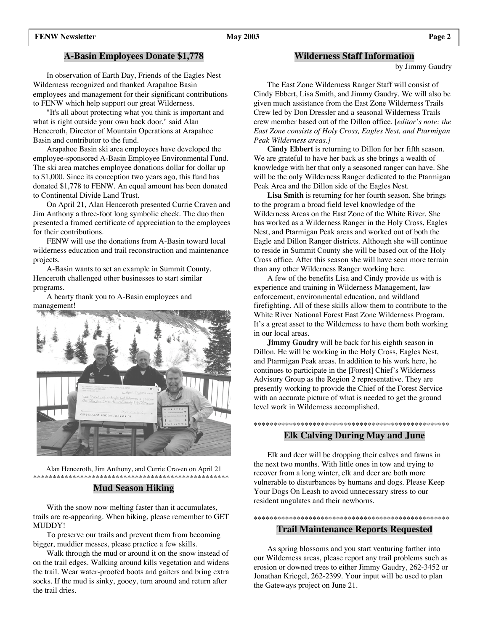## **A-Basin Employees Donate \$1,778**

In observation of Earth Day, Friends of the Eagles Nest Wilderness recognized and thanked Arapahoe Basin employees and management for their significant contributions to FENW which help support our great Wilderness.

"It's all about protecting what you think is important and what is right outside your own back door," said Alan Henceroth, Director of Mountain Operations at Arapahoe Basin and contributor to the fund.

Arapahoe Basin ski area employees have developed the employee-sponsored A-Basin Employee Environmental Fund. The ski area matches employee donations dollar for dollar up to \$1,000. Since its conception two years ago, this fund has donated \$1,778 to FENW. An equal amount has been donated to Continental Divide Land Trust.

On April 21, Alan Henceroth presented Currie Craven and Jim Anthony a three-foot long symbolic check. The duo then presented a framed certificate of appreciation to the employees for their contributions.

FENW will use the donations from A-Basin toward local wilderness education and trail reconstruction and maintenance projects.

A-Basin wants to set an example in Summit County. Henceroth challenged other businesses to start similar programs.

A hearty thank you to A-Basin employees and management!



Alan Henceroth, Jim Anthony, and Currie Craven on April 21 \*\*\*\*\*\*\*\*\*\*\*\*\*\*\*\*\*\*\*\*\*\*\*\*\*\*\*\*\*\*\*\*\*\*\*\*\*\*\*\*\*\*\*\*\*\*\*\*\*\*

## **Mud Season Hiking**

With the snow now melting faster than it accumulates, trails are re-appearing. When hiking, please remember to GET MUDDY!

To preserve our trails and prevent them from becoming bigger, muddier messes, please practice a few skills.

Walk through the mud or around it on the snow instead of on the trail edges. Walking around kills vegetation and widens the trail. Wear water-proofed boots and gaiters and bring extra socks. If the mud is sinky, gooey, turn around and return after the trail dries.

### **Wilderness Staff Information**

by Jimmy Gaudry

The East Zone Wilderness Ranger Staff will consist of Cindy Ebbert, Lisa Smith, and Jimmy Gaudry. We will also be given much assistance from the East Zone Wilderness Trails Crew led by Don Dressler and a seasonal Wilderness Trails crew member based out of the Dillon office. [*editor's note: the East Zone consists of Holy Cross, Eagles Nest, and Ptarmigan Peak Wilderness areas.]*

**Cindy Ebbert** is returning to Dillon for her fifth season. We are grateful to have her back as she brings a wealth of knowledge with her that only a seasoned ranger can have. She will be the only Wilderness Ranger dedicated to the Ptarmigan Peak Area and the Dillon side of the Eagles Nest.

**Lisa Smith** is returning for her fourth season. She brings to the program a broad field level knowledge of the Wilderness Areas on the East Zone of the White River. She has worked as a Wilderness Ranger in the Holy Cross, Eagles Nest, and Ptarmigan Peak areas and worked out of both the Eagle and Dillon Ranger districts. Although she will continue to reside in Summit County she will be based out of the Holy Cross office. After this season she will have seen more terrain than any other Wilderness Ranger working here.

A few of the benefits Lisa and Cindy provide us with is experience and training in Wilderness Management, law enforcement, environmental education, and wildland firefighting. All of these skills allow them to contribute to the White River National Forest East Zone Wilderness Program. It's a great asset to the Wilderness to have them both working in our local areas.

**Jimmy Gaudry** will be back for his eighth season in Dillon. He will be working in the Holy Cross, Eagles Nest, and Ptarmigan Peak areas. In addition to his work here, he continues to participate in the [Forest] Chief's Wilderness Advisory Group as the Region 2 representative. They are presently working to provide the Chief of the Forest Service with an accurate picture of what is needed to get the ground level work in Wilderness accomplished.

## \*\*\*\*\*\*\*\*\*\*\*\*\*\*\*\*\*\*\*\*\*\*\*\*\*\*\*\*\*\*\*\*\*\*\*\*\*\*\*\*\*\*\*\*\*\*\*\*\*\* **Elk Calving During May and June**

Elk and deer will be dropping their calves and fawns in the next two months. With little ones in tow and trying to recover from a long winter, elk and deer are both more vulnerable to disturbances by humans and dogs. Please Keep Your Dogs On Leash to avoid unnecessary stress to our resident ungulates and their newborns.

## \*\*\*\*\*\*\*\*\*\*\*\*\*\*\*\*\*\*\*\*\*\*\*\*\*\*\*\*\*\*\*\*\*\*\*\*\*\*\*\*\*\*\*\*\*\*\*\*\*\* **Trail Maintenance Reports Requested**

As spring blossoms and you start venturing farther into our Wilderness areas, please report any trail problems such as erosion or downed trees to either Jimmy Gaudry, 262-3452 or Jonathan Kriegel, 262-2399. Your input will be used to plan the Gateways project on June 21.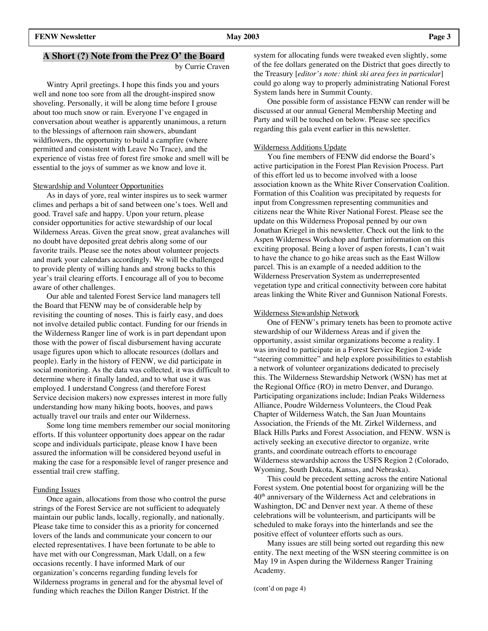## **A Short (?) Note from the Prez O' the Board**

by Currie Craven

Wintry April greetings. I hope this finds you and yours well and none too sore from all the drought-inspired snow shoveling. Personally, it will be along time before I grouse about too much snow or rain. Everyone I've engaged in conversation about weather is apparently unanimous, a return to the blessings of afternoon rain showers, abundant wildflowers, the opportunity to build a campfire (where permitted and consistent with Leave No Trace), and the experience of vistas free of forest fire smoke and smell will be essential to the joys of summer as we know and love it.

## Stewardship and Volunteer Opportunities

As in days of yore, real winter inspires us to seek warmer climes and perhaps a bit of sand between one's toes. Well and good. Travel safe and happy. Upon your return, please consider opportunities for active stewardship of our local Wilderness Areas. Given the great snow, great avalanches will no doubt have deposited great debris along some of our favorite trails. Please see the notes about volunteer projects and mark your calendars accordingly. We will be challenged to provide plenty of willing hands and strong backs to this year's trail clearing efforts. I encourage all of you to become aware of other challenges.

Our able and talented Forest Service land managers tell the Board that FENW may be of considerable help by revisiting the counting of noses. This is fairly easy, and does not involve detailed public contact. Funding for our friends in the Wilderness Ranger line of work is in part dependant upon those with the power of fiscal disbursement having accurate usage figures upon which to allocate resources (dollars and people). Early in the history of FENW, we did participate in social monitoring. As the data was collected, it was difficult to determine where it finally landed, and to what use it was employed. I understand Congress (and therefore Forest Service decision makers) now expresses interest in more fully understanding how many hiking boots, hooves, and paws actually travel our trails and enter our Wilderness.

Some long time members remember our social monitoring efforts. If this volunteer opportunity does appear on the radar scope and individuals participate, please know I have been assured the information will be considered beyond useful in making the case for a responsible level of ranger presence and essential trail crew staffing.

### Funding Issues

Once again, allocations from those who control the purse strings of the Forest Service are not sufficient to adequately maintain our public lands, locally, regionally, and nationally. Please take time to consider this as a priority for concerned lovers of the lands and communicate your concern to our elected representatives. I have been fortunate to be able to have met with our Congressman, Mark Udall, on a few occasions recently. I have informed Mark of our organization's concerns regarding funding levels for Wilderness programs in general and for the abysmal level of funding which reaches the Dillon Ranger District. If the

system for allocating funds were tweaked even slightly, some of the fee dollars generated on the District that goes directly to the Treasury [*editor's note: think ski area fees in particular*] could go along way to properly administrating National Forest System lands here in Summit County.

One possible form of assistance FENW can render will be discussed at our annual General Membership Meeting and Party and will be touched on below. Please see specifics regarding this gala event earlier in this newsletter.

#### Wilderness Additions Update

You fine members of FENW did endorse the Board's active participation in the Forest Plan Revision Process. Part of this effort led us to become involved with a loose association known as the White River Conservation Coalition. Formation of this Coalition was precipitated by requests for input from Congressmen representing communities and citizens near the White River National Forest. Please see the update on this Wilderness Proposal penned by our own Jonathan Kriegel in this newsletter. Check out the link to the Aspen Wilderness Workshop and further information on this exciting proposal. Being a lover of aspen forests, I can't wait to have the chance to go hike areas such as the East Willow parcel. This is an example of a needed addition to the Wilderness Preservation System as underrepresented vegetation type and critical connectivity between core habitat areas linking the White River and Gunnison National Forests.

#### Wilderness Stewardship Network

One of FENW's primary tenets has been to promote active stewardship of our Wilderness Areas and if given the opportunity, assist similar organizations become a reality. I was invited to participate in a Forest Service Region 2-wide "steering committee" and help explore possibilities to establish a network of volunteer organizations dedicated to precisely this. The Wilderness Stewardship Network (WSN) has met at the Regional Office (RO) in metro Denver, and Durango. Participating organizations include; Indian Peaks Wilderness Alliance, Poudre Wilderness Volunteers, the Cloud Peak Chapter of Wilderness Watch, the San Juan Mountains Association, the Friends of the Mt. Zirkel Wilderness, and Black Hills Parks and Forest Association, and FENW. WSN is actively seeking an executive director to organize, write grants, and coordinate outreach efforts to encourage Wilderness stewardship across the USFS Region 2 (Colorado, Wyoming, South Dakota, Kansas, and Nebraska).

This could be precedent setting across the entire National Forest system. One potential boost for organizing will be the  $40<sup>th</sup>$  anniversary of the Wilderness Act and celebrations in Washington, DC and Denver next year. A theme of these celebrations will be volunteerism, and participants will be scheduled to make forays into the hinterlands and see the positive effect of volunteer efforts such as ours.

Many issues are still being sorted out regarding this new entity. The next meeting of the WSN steering committee is on May 19 in Aspen during the Wilderness Ranger Training Academy.

(cont'd on page 4)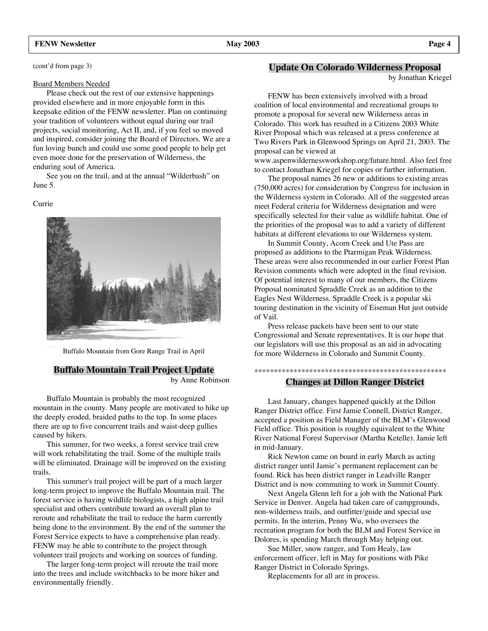## **FENW Newsletter May 2003 Page 4**

(cont'd from page 3)

#### Board Members Needed

Please check out the rest of our extensive happenings provided elsewhere and in more enjoyable form in this keepsake edition of the FENW newsletter. Plan on continuing your tradition of volunteers without equal during our trail projects, social monitoring, Act II, and, if you feel so moved and inspired, consider joining the Board of Directors. We are a fun loving bunch and could use some good people to help get even more done for the preservation of Wilderness, the enduring soul of America.

See you on the trail, and at the annual "Wilderbash" on June 5.

#### Currie



Buffalo Mountain from Gore Range Trail in April

## **Buffalo Mountain Trail Project Update**

by Anne Robinson

Buffalo Mountain is probably the most recognized mountain in the county. Many people are motivated to hike up the deeply eroded, braided paths to the top. In some places there are up to five concurrent trails and waist-deep gullies caused by hikers.

This summer, for two weeks, a forest service trail crew will work rehabilitating the trail. Some of the multiple trails will be eliminated. Drainage will be improved on the existing trails.

This summer's trail project will be part of a much larger long-term project to improve the Buffalo Mountain trail. The forest service is having wildlife biologists, a high alpine trail specialist and others contribute toward an overall plan to reroute and rehabilitate the trail to reduce the harm currently being done to the environment. By the end of the summer the Forest Service expects to have a comprehensive plan ready. FENW may be able to contribute to the project through volunteer trail projects and working on sources of funding.

The larger long-term project will reroute the trail more into the trees and include switchbacks to be more hiker and environmentally friendly.

## **Update On Colorado Wilderness Proposal**

by Jonathan Kriegel

FENW has been extensively involved with a broad coalition of local environmental and recreational groups to promote a proposal for several new Wilderness areas in Colorado. This work has resulted in a Citizens 2003 White River Proposal which was released at a press conference at Two Rivers Park in Glenwood Springs on April 21, 2003. The proposal can be viewed at

www.aspenwildernessworkshop.org/future.html. Also feel free to contact Jonathan Kriegel for copies or further information.

The proposal names 26 new or additions to existing areas (750,000 acres) for consideration by Congress for inclusion in the Wilderness system in Colorado. All of the suggested areas meet Federal criteria for Wilderness designation and were specifically selected for their value as wildlife habitat. One of the priorities of the proposal was to add a variety of different habitats at different elevations to our Wilderness system.

In Summit County, Acorn Creek and Ute Pass are proposed as additions to the Ptarmigan Peak Wilderness. These areas were also recommended in our earlier Forest Plan Revision comments which were adopted in the final revision. Of potential interest to many of our members, the Citizens Proposal nominated Spraddle Creek as an addition to the Eagles Nest Wilderness. Spraddle Creek is a popular ski touring destination in the vicinity of Eiseman Hut just outside of Vail.

Press release packets have been sent to our state Congressional and Senate representatives. It is our hope that our legislators will use this proposal as an aid in advocating for more Wilderness in Colorado and Summit County.

## \*\*\*\*\*\*\*\*\*\*\*\*\*\*\*\*\*\*\*\*\*\*\*\*\*\*\*\*\*\*\*\*\*\*\*\*\*\*\*\*\*\*\*\*\*\*\*\*\* **Changes at Dillon Ranger District**

Last January, changes happened quickly at the Dillon Ranger District office. First Jamie Connell, District Ranger, accepted a position as Field Manager of the BLM's Glenwood Field office. This position is roughly equivalent to the White River National Forest Supervisor (Martha Ketelle). Jamie left in mid-January.

Rick Newton came on board in early March as acting district ranger until Jamie's permanent replacement can be found. Rick has been district ranger in Leadville Ranger District and is now commuting to work in Summit County.

Next Angela Glenn left for a job with the National Park Service in Denver. Angela had taken care of campgrounds, non-wilderness trails, and outfitter/guide and special use permits. In the interim, Penny Wu, who oversees the recreation program for both the BLM and Forest Service in Dolores, is spending March through May helping out.

Sue Miller, snow ranger, and Tom Healy, law enforcement officer, left in May for positions with Pike Ranger District in Colorado Springs.

Replacements for all are in process.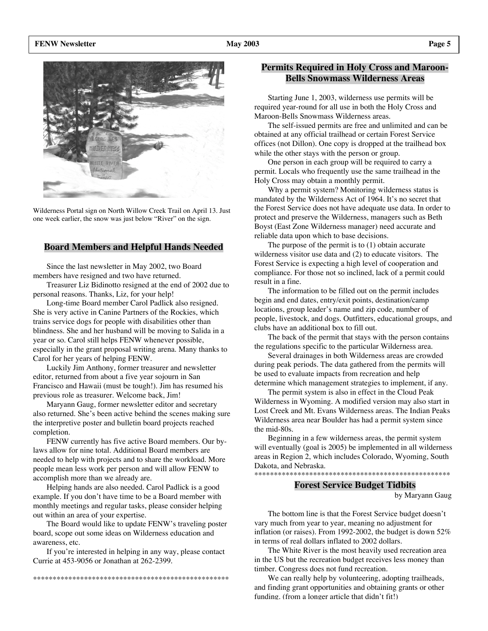

Wilderness Portal sign on North Willow Creek Trail on April 13. Just one week earlier, the snow was just below "River" on the sign.

## **Board Members and Helpful Hands Needed**

Since the last newsletter in May 2002, two Board members have resigned and two have returned.

Treasurer Liz Bidinotto resigned at the end of 2002 due to personal reasons. Thanks, Liz, for your help!

Long-time Board member Carol Padlick also resigned. She is very active in Canine Partners of the Rockies, which trains service dogs for people with disabilities other than blindness. She and her husband will be moving to Salida in a year or so. Carol still helps FENW whenever possible, especially in the grant proposal writing arena. Many thanks to Carol for her years of helping FENW.

Luckily Jim Anthony, former treasurer and newsletter editor, returned from about a five year sojourn in San Francisco and Hawaii (must be tough!). Jim has resumed his previous role as treasurer. Welcome back, Jim!

Maryann Gaug, former newsletter editor and secretary also returned. She's been active behind the scenes making sure the interpretive poster and bulletin board projects reached completion.

FENW currently has five active Board members. Our bylaws allow for nine total. Additional Board members are needed to help with projects and to share the workload. More people mean less work per person and will allow FENW to accomplish more than we already are.

Helping hands are also needed. Carol Padlick is a good example. If you don't have time to be a Board member with monthly meetings and regular tasks, please consider helping out within an area of your expertise.

The Board would like to update FENW's traveling poster board, scope out some ideas on Wilderness education and awareness, etc.

If you're interested in helping in any way, please contact Currie at 453-9056 or Jonathan at 262-2399.

\*\*\*\*\*\*\*\*\*\*\*\*\*\*\*\*\*\*\*\*\*\*\*\*\*\*\*\*\*\*\*\*\*\*\*\*\*\*\*\*\*\*\*\*\*\*\*\*\*\*

## **Permits Required in Holy Cross and Maroon-Bells Snowmass Wilderness Areas**

Starting June 1, 2003, wilderness use permits will be required year-round for all use in both the Holy Cross and Maroon-Bells Snowmass Wilderness areas.

The self-issued permits are free and unlimited and can be obtained at any official trailhead or certain Forest Service offices (not Dillon). One copy is dropped at the trailhead box while the other stays with the person or group.

One person in each group will be required to carry a permit. Locals who frequently use the same trailhead in the Holy Cross may obtain a monthly permit.

Why a permit system? Monitoring wilderness status is mandated by the Wilderness Act of 1964. It's no secret that the Forest Service does not have adequate use data. In order to protect and preserve the Wilderness, managers such as Beth Boyst (East Zone Wilderness manager) need accurate and reliable data upon which to base decisions.

The purpose of the permit is to (1) obtain accurate wilderness visitor use data and (2) to educate visitors. The Forest Service is expecting a high level of cooperation and compliance. For those not so inclined, lack of a permit could result in a fine.

The information to be filled out on the permit includes begin and end dates, entry/exit points, destination/camp locations, group leader's name and zip code, number of people, livestock, and dogs. Outfitters, educational groups, and clubs have an additional box to fill out.

The back of the permit that stays with the person contains the regulations specific to the particular Wilderness area.

Several drainages in both Wilderness areas are crowded during peak periods. The data gathered from the permits will be used to evaluate impacts from recreation and help determine which management strategies to implement, if any.

The permit system is also in effect in the Cloud Peak Wilderness in Wyoming. A modified version may also start in Lost Creek and Mt. Evans Wilderness areas. The Indian Peaks Wilderness area near Boulder has had a permit system since the mid-80s.

Beginning in a few wilderness areas, the permit system will eventually (goal is 2005) be implemented in all wilderness areas in Region 2, which includes Colorado, Wyoming, South Dakota, and Nebraska. \*\*\*\*\*\*\*\*\*\*\*\*\*\*\*\*\*\*\*\*\*\*\*\*\*\*\*\*\*\*\*\*\*\*\*\*\*\*\*\*\*\*\*\*\*\*\*\*\*\*

## **Forest Service Budget Tidbits**

by Maryann Gaug

The bottom line is that the Forest Service budget doesn't vary much from year to year, meaning no adjustment for inflation (or raises). From 1992-2002, the budget is down 52% in terms of real dollars inflated to 2002 dollars.

The White River is the most heavily used recreation area in the US but the recreation budget receives less money than timber. Congress does not fund recreation.

We can really help by volunteering, adopting trailheads, and finding grant opportunities and obtaining grants or other funding. (from a longer article that didn't fit!)